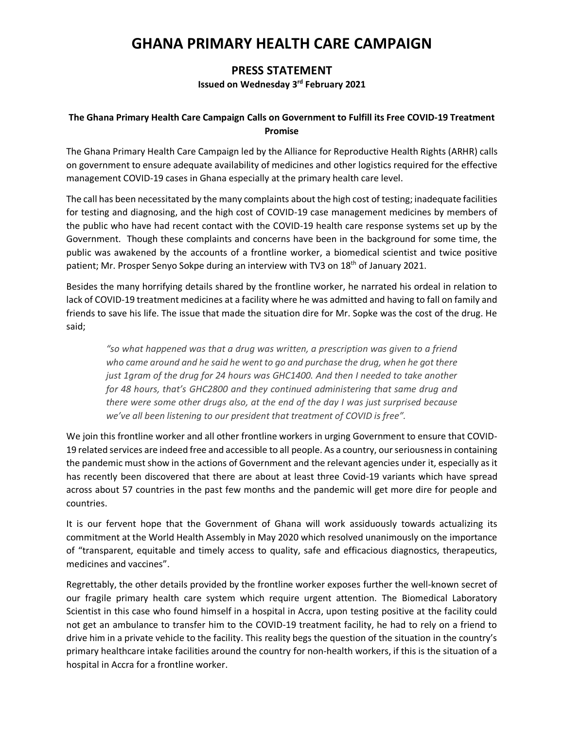## **GHANA PRIMARY HEALTH CARE CAMPAIGN**

## **PRESS STATEMENT**

## **Issued on Wednesday 3 rd February 2021**

## **The Ghana Primary Health Care Campaign Calls on Government to Fulfill its Free COVID-19 Treatment Promise**

The Ghana Primary Health Care Campaign led by the Alliance for Reproductive Health Rights (ARHR) calls on government to ensure adequate availability of medicines and other logistics required for the effective management COVID-19 cases in Ghana especially at the primary health care level.

The call has been necessitated by the many complaints about the high cost of testing; inadequate facilities for testing and diagnosing, and the high cost of COVID-19 case management medicines by members of the public who have had recent contact with the COVID-19 health care response systems set up by the Government. Though these complaints and concerns have been in the background for some time, the public was awakened by the accounts of a frontline worker, a biomedical scientist and twice positive patient; Mr. Prosper Senyo Sokpe during an interview with TV3 on 18<sup>th</sup> of January 2021.

Besides the many horrifying details shared by the frontline worker, he narrated his ordeal in relation to lack of COVID-19 treatment medicines at a facility where he was admitted and having to fall on family and friends to save his life. The issue that made the situation dire for Mr. Sopke was the cost of the drug. He said;

*"so what happened was that a drug was written, a prescription was given to a friend who came around and he said he went to go and purchase the drug, when he got there just 1gram of the drug for 24 hours was GHC1400. And then I needed to take another for 48 hours, that's GHC2800 and they continued administering that same drug and there were some other drugs also, at the end of the day I was just surprised because we've all been listening to our president that treatment of COVID is free".*

We join this frontline worker and all other frontline workers in urging Government to ensure that COVID-19 related services are indeed free and accessible to all people. As a country, our seriousness in containing the pandemic must show in the actions of Government and the relevant agencies under it, especially as it has recently been discovered that there are about at least three Covid-19 variants which have spread across about 57 countries in the past few months and the pandemic will get more dire for people and countries.

It is our fervent hope that the Government of Ghana will work assiduously towards actualizing its commitment at the World Health Assembly in May 2020 which resolved unanimously on the importance of "transparent, equitable and timely access to quality, safe and efficacious diagnostics, therapeutics, medicines and vaccines".

Regrettably, the other details provided by the frontline worker exposes further the well-known secret of our fragile primary health care system which require urgent attention. The Biomedical Laboratory Scientist in this case who found himself in a hospital in Accra, upon testing positive at the facility could not get an ambulance to transfer him to the COVID-19 treatment facility, he had to rely on a friend to drive him in a private vehicle to the facility. This reality begs the question of the situation in the country's primary healthcare intake facilities around the country for non-health workers, if this is the situation of a hospital in Accra for a frontline worker.